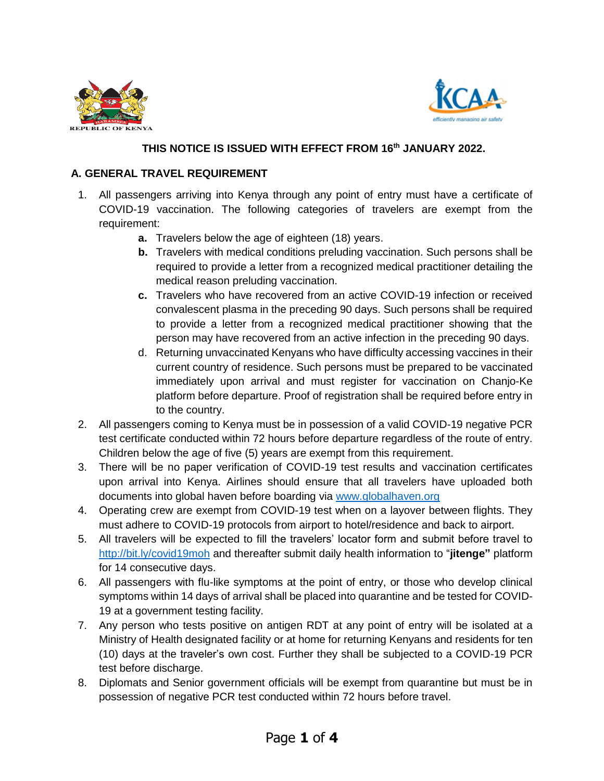



## **THIS NOTICE IS ISSUED WITH EFFECT FROM 16th JANUARY 2022.**

## **A. GENERAL TRAVEL REQUIREMENT**

- 1. All passengers arriving into Kenya through any point of entry must have a certificate of COVID-19 vaccination. The following categories of travelers are exempt from the requirement:
	- **a.** Travelers below the age of eighteen (18) years.
	- **b.** Travelers with medical conditions preluding vaccination. Such persons shall be required to provide a letter from a recognized medical practitioner detailing the medical reason preluding vaccination.
	- **c.** Travelers who have recovered from an active COVID-19 infection or received convalescent plasma in the preceding 90 days. Such persons shall be required to provide a letter from a recognized medical practitioner showing that the person may have recovered from an active infection in the preceding 90 days.
	- d. Returning unvaccinated Kenyans who have difficulty accessing vaccines in their current country of residence. Such persons must be prepared to be vaccinated immediately upon arrival and must register for vaccination on Chanjo-Ke platform before departure. Proof of registration shall be required before entry in to the country.
- 2. All passengers coming to Kenya must be in possession of a valid COVID-19 negative PCR test certificate conducted within 72 hours before departure regardless of the route of entry. Children below the age of five (5) years are exempt from this requirement.
- 3. There will be no paper verification of COVID-19 test results and vaccination certificates upon arrival into Kenya. Airlines should ensure that all travelers have uploaded both documents into global haven before boarding via [www.globalhaven.org](http://www.globalhaven.org/)
- 4. Operating crew are exempt from COVID-19 test when on a layover between flights. They must adhere to COVID-19 protocols from airport to hotel/residence and back to airport.
- 5. All travelers will be expected to fill the travelers' locator form and submit before travel to <http://bit.ly/covid19moh> and thereafter submit daily health information to "**jitenge"** platform for 14 consecutive days.
- 6. All passengers with flu-like symptoms at the point of entry, or those who develop clinical symptoms within 14 days of arrival shall be placed into quarantine and be tested for COVID-19 at a government testing facility.
- 7. Any person who tests positive on antigen RDT at any point of entry will be isolated at a Ministry of Health designated facility or at home for returning Kenyans and residents for ten (10) days at the traveler's own cost. Further they shall be subjected to a COVID-19 PCR test before discharge.
- 8. Diplomats and Senior government officials will be exempt from quarantine but must be in possession of negative PCR test conducted within 72 hours before travel.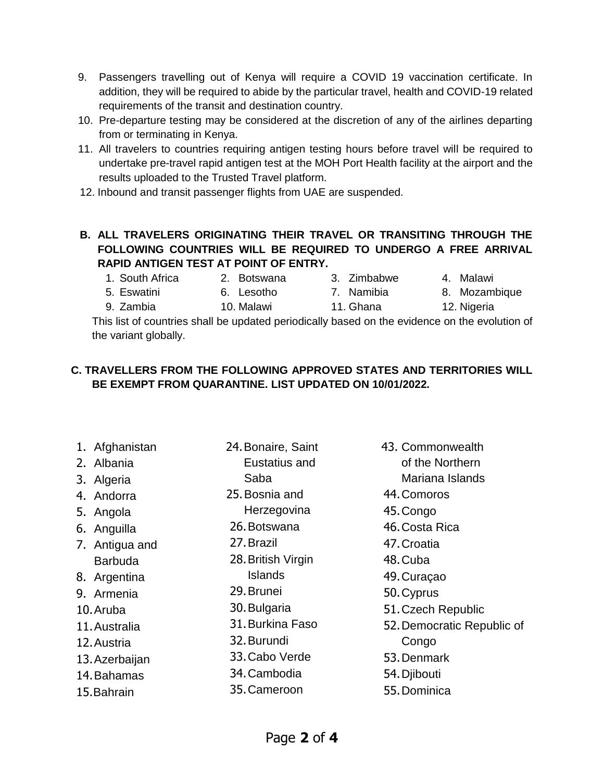- 9. Passengers travelling out of Kenya will require a COVID 19 vaccination certificate. In addition, they will be required to abide by the particular travel, health and COVID-19 related requirements of the transit and destination country.
- 10. Pre-departure testing may be considered at the discretion of any of the airlines departing from or terminating in Kenya.
- 11. All travelers to countries requiring antigen testing hours before travel will be required to undertake pre-travel rapid antigen test at the MOH Port Health facility at the airport and the results uploaded to the Trusted Travel platform.
- 12. Inbound and transit passenger flights from UAE are suspended.

## **B. ALL TRAVELERS ORIGINATING THEIR TRAVEL OR TRANSITING THROUGH THE FOLLOWING COUNTRIES WILL BE REQUIRED TO UNDERGO A FREE ARRIVAL RAPID ANTIGEN TEST AT POINT OF ENTRY.**

- 1. South Africa 2. Botswana 3. Zimbabwe 4. Malawi
- 5. Eswatini 6. Lesotho 7. Namibia 8. Mozambique
- 
- 
- 
- 9. Zambia 10. Malawi 11. Ghana 12. Nigeria This list of countries shall be updated periodically based on the evidence on the evolution of

the variant globally.

## **C. TRAVELLERS FROM THE FOLLOWING APPROVED STATES AND TERRITORIES WILL BE EXEMPT FROM QUARANTINE. LIST UPDATED ON 10/01/2022.**

- 1. Afghanistan 2. Albania 3. Algeria 4. Andorra 5. Angola 24.Bonaire, Saint
	- 6. Anguilla
	- 7. Antigua and Barbuda
	- 8. Argentina
- 9. Armenia
- 10.Aruba
- 11.Australia
- 12.Austria
- 13.Azerbaijan
- 14.Bahamas
- 15.Bahrain
- Eustatius and
- Saba
- 25.Bosnia and
- Herzegovina
- 26.Botswana
- 27.Brazil
- 28.British Virgin Islands
- 29.Brunei
- 30.Bulgaria
- 31.Burkina Faso
- 32.Burundi
- 33.Cabo Verde
- 34.Cambodia
	- 35.Cameroon
- 43. Commonwealth
	- of the Northern
		- Mariana Islands
	- 44.Comoros
	- 45.Congo
	- 46.Costa Rica
	- 47.Croatia
	- 48.Cuba
	- 49.Curaçao
	- 50.Cyprus
	- 51.Czech Republic
	- 52.Democratic Republic of Congo
	- 53.Denmark
	- 54. Diibouti
- 55.Dominica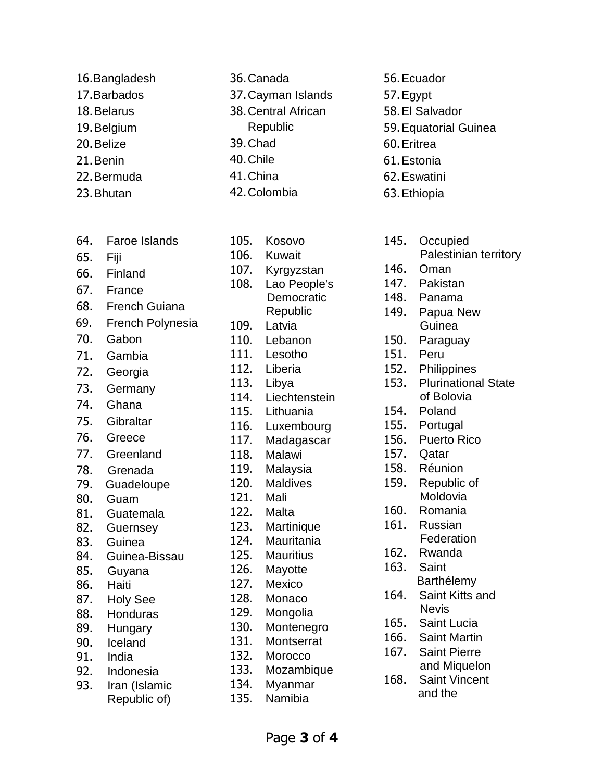- 16.Bangladesh
- 17.Barbados
- 18.Belarus
- 19.Belgium
- 20.Belize
- 21.Benin
- 22.Bermuda
- 23.Bhutan
- 64. Faroe Islands
- 65. Fiji
- 66. Finland
- 67. France
- 68. French Guiana
- 69. French Polynesia
- 70. Gabon
- 71. Gambia
- 72. Georgia
- 73. Germany
- 74. Ghana
- 75. Gibraltar
- 76. Greece
- 77. Greenland
- 78. Grenada
- 79. Guadeloupe
- 80. Guam
- 81. Guatemala
- 82. Guernsey
- 83. Guinea
- 84. Guinea-Bissau
- 85. Guyana
- 86. Haiti
- 87. Holy See
- 88. Honduras
- 89. Hungary
- 90. Iceland
- 91. India
- 92. Indonesia
- 93. Iran (Islamic Republic of)
- 105. Kosovo 106. Kuwait 107. Kyrgyzstan 108. Lao People's **Democratic** Republic 109. Latvia 110. Lebanon 111. Lesotho 112. Liberia 113. Libya 114. Liechtenstein 115. Lithuania 116. Luxembourg 117. Madagascar 118. Malawi 119. Malaysia 120. Maldives 121. Mali 122. Malta 123. Martinique 124. Mauritania 125. Mauritius 126. Mayotte 127. Mexico 128. Monaco 129. Mongolia 130. Montenegro 131. Montserrat 132. Morocco

36.Canada

39.Chad 40.Chile 41.China 42.Colombia

37.Cayman Islands 38.Central African Republic

- 133. Mozambique 134. Myanmar
- 135. Namibia
- 56.Ecuador
- 57.Egypt
- 58.El Salvador
- 59.Equatorial Guinea
- 60.Eritrea
- 61.Estonia
- 62.Eswatini
- 63.Ethiopia
- 145. Occupied Palestinian territory 146. Oman
- 147. Pakistan
- 148. Panama
- 149. Papua New Guinea
- 150. Paraguay
- 151. Peru
- 152. Philippines
- 153. Plurinational State of Bolovia
- 154. Poland
- 155. Portugal
- 156. Puerto Rico
- 157. Qatar
- 158. Réunion
- 159. Republic of Moldovia
- 160. Romania
- 161. Russian
	- Federation
- 162. Rwanda
- 163. Saint Barthélemy
- 164. Saint Kitts and Nevis
- 165. Saint Lucia
- 166. Saint Martin
- 167. Saint Pierre and Miquelon
- 168. Saint Vincent and the